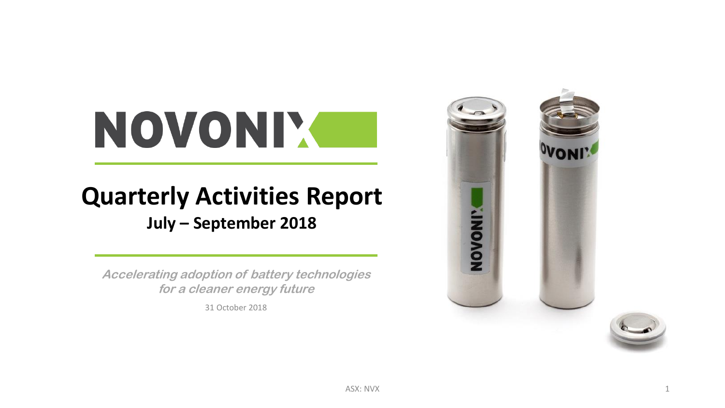# NOVONIX

## **Quarterly Activities Report**

**July – September 2018**

**Accelerating adoption of battery technologies for a cleaner energy future**

31 October 2018

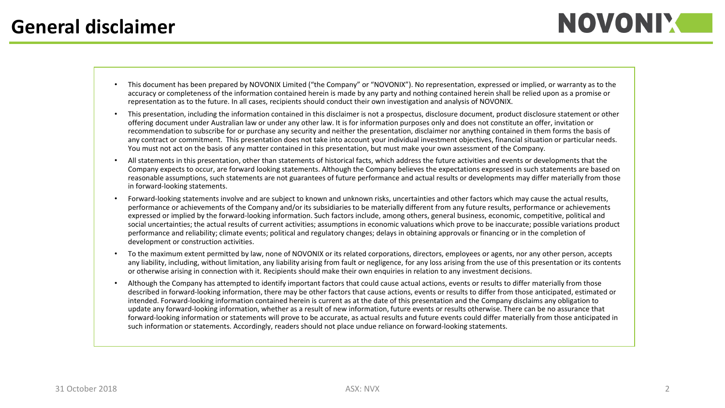- This document has been prepared by NOVONIX Limited ("the Company" or "NOVONIX"). No representation, expressed or implied, or warranty as to the accuracy or completeness of the information contained herein is made by any party and nothing contained herein shall be relied upon as a promise or representation as to the future. In all cases, recipients should conduct their own investigation and analysis of NOVONIX.
- This presentation, including the information contained in this disclaimer is not a prospectus, disclosure document, product disclosure statement or other offering document under Australian law or under any other law. It is for information purposes only and does not constitute an offer, invitation or recommendation to subscribe for or purchase any security and neither the presentation, disclaimer nor anything contained in them forms the basis of any contract or commitment. This presentation does not take into account your individual investment objectives, financial situation or particular needs. You must not act on the basis of any matter contained in this presentation, but must make your own assessment of the Company.
- All statements in this presentation, other than statements of historical facts, which address the future activities and events or developments that the Company expects to occur, are forward looking statements. Although the Company believes the expectations expressed in such statements are based on reasonable assumptions, such statements are not guarantees of future performance and actual results or developments may differ materially from those in forward-looking statements.
- Forward-looking statements involve and are subject to known and unknown risks, uncertainties and other factors which may cause the actual results, performance or achievements of the Company and/or its subsidiaries to be materially different from any future results, performance or achievements expressed or implied by the forward-looking information. Such factors include, among others, general business, economic, competitive, political and social uncertainties; the actual results of current activities; assumptions in economic valuations which prove to be inaccurate; possible variations product performance and reliability; climate events; political and regulatory changes; delays in obtaining approvals or financing or in the completion of development or construction activities.
- To the maximum extent permitted by law, none of NOVONIX or its related corporations, directors, employees or agents, nor any other person, accepts any liability, including, without limitation, any liability arising from fault or negligence, for any loss arising from the use of this presentation or its contents or otherwise arising in connection with it. Recipients should make their own enquiries in relation to any investment decisions.
- Although the Company has attempted to identify important factors that could cause actual actions, events or results to differ materially from those described in forward-looking information, there may be other factors that cause actions, events or results to differ from those anticipated, estimated or intended. Forward-looking information contained herein is current as at the date of this presentation and the Company disclaims any obligation to update any forward-looking information, whether as a result of new information, future events or results otherwise. There can be no assurance that forward-looking information or statements will prove to be accurate, as actual results and future events could differ materially from those anticipated in such information or statements. Accordingly, readers should not place undue reliance on forward-looking statements.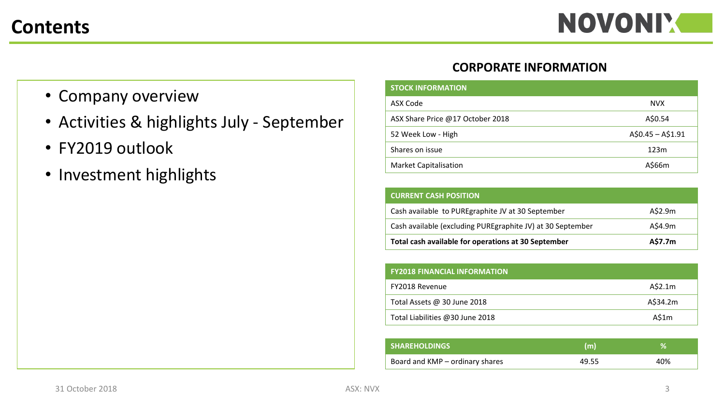#### **Contents**

- Company overview
- Activities & highlights July September
- FY2019 outlook
- Investment highlights

#### **CORPORATE INFORMATION**

| <b>STOCK INFORMATION</b>         |                   |
|----------------------------------|-------------------|
| ASX Code                         | NVX.              |
| ASX Share Price @17 October 2018 | A\$0.54           |
| 52 Week Low - High               | $A$0.45 - A$1.91$ |
| Shares on issue                  | 123m              |
| <b>Market Capitalisation</b>     | A\$66m            |

| <b>CURRENT CASH POSITION</b>                                |         |
|-------------------------------------------------------------|---------|
| Cash available to PUREgraphite JV at 30 September           | A\$2.9m |
| Cash available (excluding PURE graphite JV) at 30 September | A\$4.9m |
| Total cash available for operations at 30 September         | A\$7.7m |

| <b>FY2018 FINANCIAL INFORMATION</b> |          |
|-------------------------------------|----------|
| FY2018 Revenue                      | A\$2.1m  |
| Total Assets @ 30 June 2018         | A\$34.2m |
| Total Liabilities @30 June 2018     | A\$1m    |

| <b>SHAREHOLDINGS</b>            | (m)   | %   |
|---------------------------------|-------|-----|
| Board and KMP – ordinary shares | 49.55 | 40% |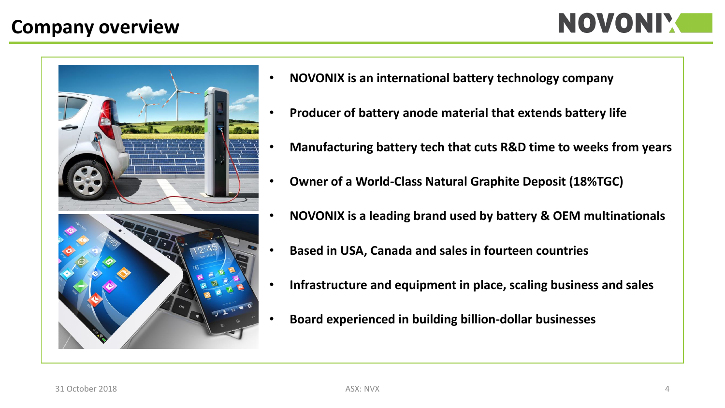#### **Company overview**





- **NOVONIX is an international battery technology company**
- **Producer of battery anode material that extends battery life**
- **Manufacturing battery tech that cuts R&D time to weeks from years**
- **Owner of a World-Class Natural Graphite Deposit (18%TGC)**
- **NOVONIX is a leading brand used by battery & OEM multinationals**
- **Based in USA, Canada and sales in fourteen countries**
- **Infrastructure and equipment in place, scaling business and sales**
- **Board experienced in building billion-dollar businesses**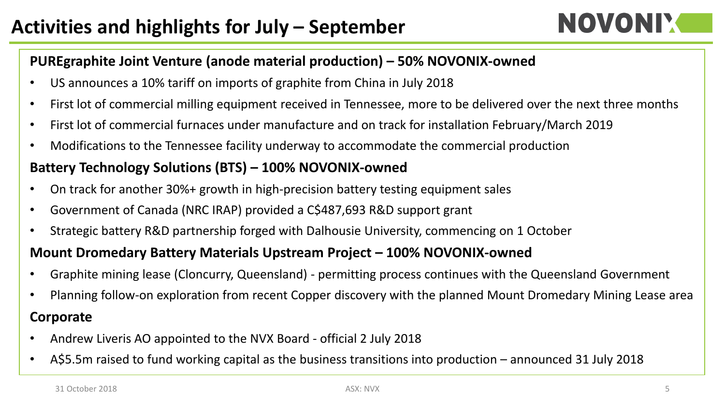### NOVONIY

#### **PUREgraphite Joint Venture (anode material production) – 50% NOVONIX-owned**

- US announces a 10% tariff on imports of graphite from China in July 2018
- First lot of commercial milling equipment received in Tennessee, more to be delivered over the next three months
- First lot of commercial furnaces under manufacture and on track for installation February/March 2019
- Modifications to the Tennessee facility underway to accommodate the commercial production

#### **Battery Technology Solutions (BTS) – 100% NOVONIX-owned**

- On track for another 30%+ growth in high-precision battery testing equipment sales
- Government of Canada (NRC IRAP) provided a C\$487,693 R&D support grant
- Strategic battery R&D partnership forged with Dalhousie University, commencing on 1 October

#### **Mount Dromedary Battery Materials Upstream Project – 100% NOVONIX-owned**

- Graphite mining lease (Cloncurry, Queensland) permitting process continues with the Queensland Government
- Planning follow-on exploration from recent Copper discovery with the planned Mount Dromedary Mining Lease area

#### **Corporate**

- Andrew Liveris AO appointed to the NVX Board official 2 July 2018
- A\$5.5m raised to fund working capital as the business transitions into production announced 31 July 2018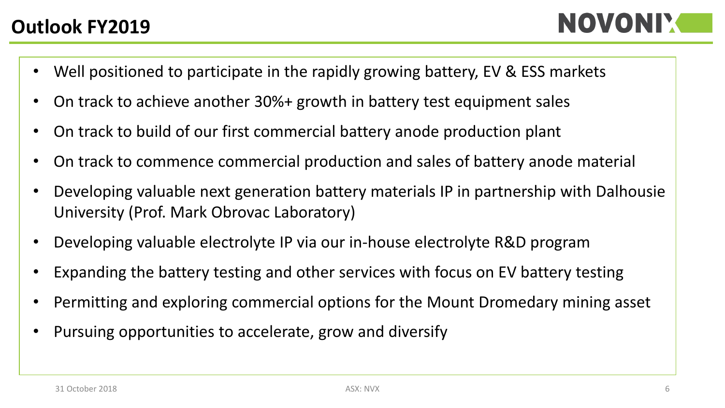- Well positioned to participate in the rapidly growing battery, EV & ESS markets
- On track to achieve another 30%+ growth in battery test equipment sales
- On track to build of our first commercial battery anode production plant
- On track to commence commercial production and sales of battery anode material
- Developing valuable next generation battery materials IP in partnership with Dalhousie University (Prof. Mark Obrovac Laboratory)
- Developing valuable electrolyte IP via our in-house electrolyte R&D program
- Expanding the battery testing and other services with focus on EV battery testing
- Permitting and exploring commercial options for the Mount Dromedary mining asset
- Pursuing opportunities to accelerate, grow and diversify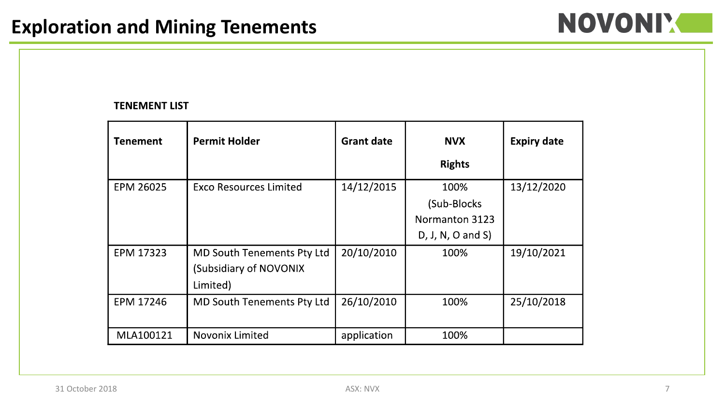### NOVONIY CON

#### **TENEMENT LIST**

| <b>Tenement</b>  | <b>Permit Holder</b>              | <b>Grant date</b> | <b>NVX</b>          | <b>Expiry date</b> |
|------------------|-----------------------------------|-------------------|---------------------|--------------------|
|                  |                                   |                   | <b>Rights</b>       |                    |
| <b>EPM 26025</b> | <b>Exco Resources Limited</b>     | 14/12/2015        | 100%                | 13/12/2020         |
|                  |                                   |                   | (Sub-Blocks)        |                    |
|                  |                                   |                   | Normanton 3123      |                    |
|                  |                                   |                   | $D, J, N, O$ and S) |                    |
| <b>EPM 17323</b> | <b>MD South Tenements Pty Ltd</b> | 20/10/2010        | 100%                | 19/10/2021         |
|                  | (Subsidiary of NOVONIX            |                   |                     |                    |
|                  | Limited)                          |                   |                     |                    |
| <b>EPM 17246</b> | <b>MD South Tenements Pty Ltd</b> | 26/10/2010        | 100%                | 25/10/2018         |
|                  |                                   |                   |                     |                    |
| MLA100121        | <b>Novonix Limited</b>            | application       | 100%                |                    |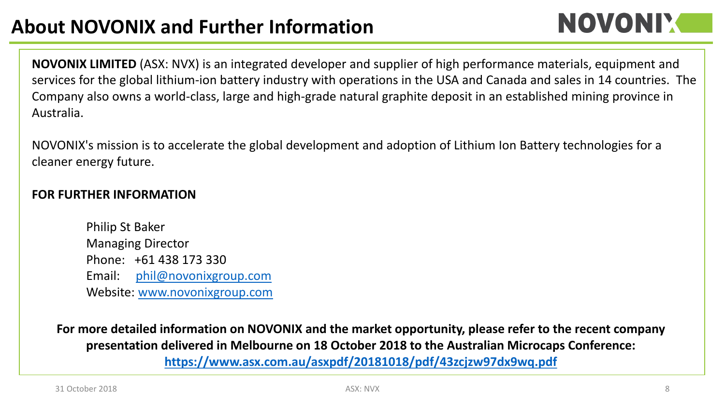### NOVONIY

**NOVONIX LIMITED** (ASX: NVX) is an integrated developer and supplier of high performance materials, equipment and services for the global lithium-ion battery industry with operations in the USA and Canada and sales in 14 countries. The Company also owns a world-class, large and high-grade natural graphite deposit in an established mining province in Australia.

NOVONIX's mission is to accelerate the global development and adoption of Lithium Ion Battery technologies for a cleaner energy future.

#### **FOR FURTHER INFORMATION**

Philip St Baker Managing Director Phone: +61 438 173 330 Email: [phil@novonixgroup.com](mailto:phil@novonixgroup.com) Website: [www.novonixgroup.com](http://www.novonixgroup.com)

**For more detailed information on NOVONIX and the market opportunity, please refer to the recent company presentation delivered in Melbourne on 18 October 2018 to the Australian Microcaps Conference: <https://www.asx.com.au/asxpdf/20181018/pdf/43zcjzw97dx9wq.pdf>**